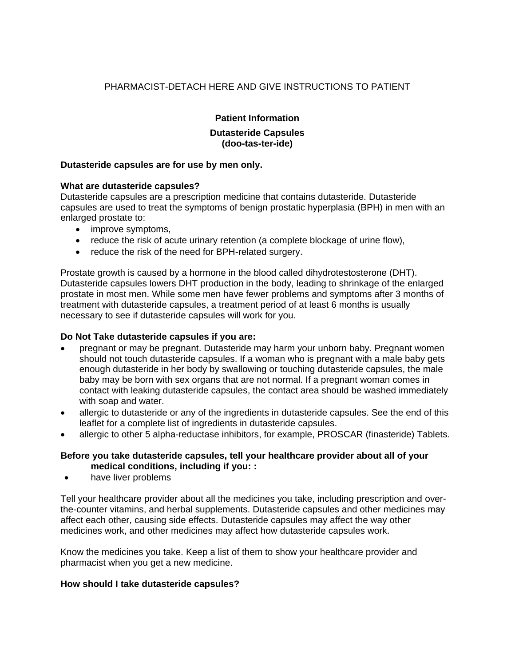# PHARMACIST-DETACH HERE AND GIVE INSTRUCTIONS TO PATIENT

# **Patient Information**

### **Dutasteride Capsules (doo-tas-ter-ide)**

### **Dutasteride capsules are for use by men only.**

#### **What are dutasteride capsules?**

Dutasteride capsules are a prescription medicine that contains dutasteride. Dutasteride capsules are used to treat the symptoms of benign prostatic hyperplasia (BPH) in men with an enlarged prostate to:

- improve symptoms,
- reduce the risk of acute urinary retention (a complete blockage of urine flow),
- reduce the risk of the need for BPH-related surgery.

Prostate growth is caused by a hormone in the blood called dihydrotestosterone (DHT). Dutasteride capsules lowers DHT production in the body, leading to shrinkage of the enlarged prostate in most men. While some men have fewer problems and symptoms after 3 months of treatment with dutasteride capsules, a treatment period of at least 6 months is usually necessary to see if dutasteride capsules will work for you.

#### **Do Not Take dutasteride capsules if you are:**

- pregnant or may be pregnant. Dutasteride may harm your unborn baby. Pregnant women should not touch dutasteride capsules. If a woman who is pregnant with a male baby gets enough dutasteride in her body by swallowing or touching dutasteride capsules, the male baby may be born with sex organs that are not normal. If a pregnant woman comes in contact with leaking dutasteride capsules, the contact area should be washed immediately with soap and water.
- allergic to dutasteride or any of the ingredients in dutasteride capsules. See the end of this leaflet for a complete list of ingredients in dutasteride capsules.
- allergic to other 5 alpha-reductase inhibitors, for example, PROSCAR (finasteride) Tablets.

#### **Before you take dutasteride capsules, tell your healthcare provider about all of your medical conditions, including if you: :**

• have liver problems

Tell your healthcare provider about all the medicines you take, including prescription and overthe-counter vitamins, and herbal supplements. Dutasteride capsules and other medicines may affect each other, causing side effects. Dutasteride capsules may affect the way other medicines work, and other medicines may affect how dutasteride capsules work.

Know the medicines you take. Keep a list of them to show your healthcare provider and pharmacist when you get a new medicine.

#### **How should I take dutasteride capsules?**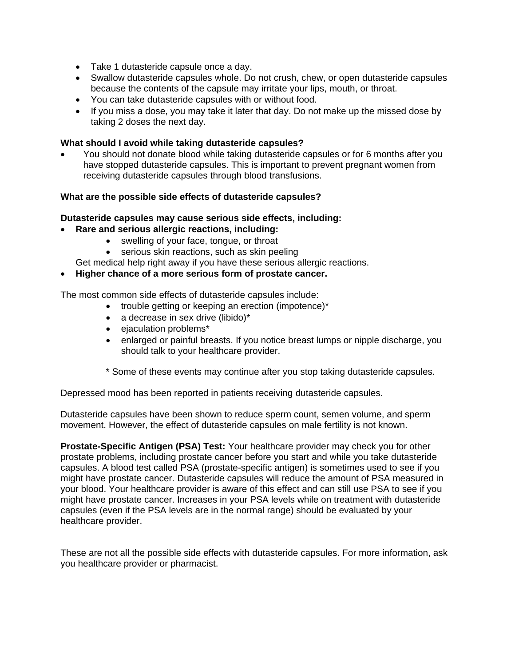- Take 1 dutasteride capsule once a day.
- Swallow dutasteride capsules whole. Do not crush, chew, or open dutasteride capsules because the contents of the capsule may irritate your lips, mouth, or throat.
- You can take dutasteride capsules with or without food.
- If you miss a dose, you may take it later that day. Do not make up the missed dose by taking 2 doses the next day.

## **What should I avoid while taking dutasteride capsules?**

• You should not donate blood while taking dutasteride capsules or for 6 months after you have stopped dutasteride capsules. This is important to prevent pregnant women from receiving dutasteride capsules through blood transfusions.

### **What are the possible side effects of dutasteride capsules?**

### **Dutasteride capsules may cause serious side effects, including:**

- **Rare and serious allergic reactions, including:** 
	- swelling of your face, tongue, or throat
		- serious skin reactions, such as skin peeling
	- Get medical help right away if you have these serious allergic reactions.

### • **Higher chance of a more serious form of prostate cancer.**

The most common side effects of dutasteride capsules include:

- trouble getting or keeping an erection (impotence)\*
- a decrease in sex drive (libido)\*
- ejaculation problems\*
- enlarged or painful breasts. If you notice breast lumps or nipple discharge, you should talk to your healthcare provider.
- \* Some of these events may continue after you stop taking dutasteride capsules.

Depressed mood has been reported in patients receiving dutasteride capsules.

Dutasteride capsules have been shown to reduce sperm count, semen volume, and sperm movement. However, the effect of dutasteride capsules on male fertility is not known.

**Prostate-Specific Antigen (PSA) Test:** Your healthcare provider may check you for other prostate problems, including prostate cancer before you start and while you take dutasteride capsules. A blood test called PSA (prostate-specific antigen) is sometimes used to see if you might have prostate cancer. Dutasteride capsules will reduce the amount of PSA measured in your blood. Your healthcare provider is aware of this effect and can still use PSA to see if you might have prostate cancer. Increases in your PSA levels while on treatment with dutasteride capsules (even if the PSA levels are in the normal range) should be evaluated by your healthcare provider.

These are not all the possible side effects with dutasteride capsules. For more information, ask you healthcare provider or pharmacist.